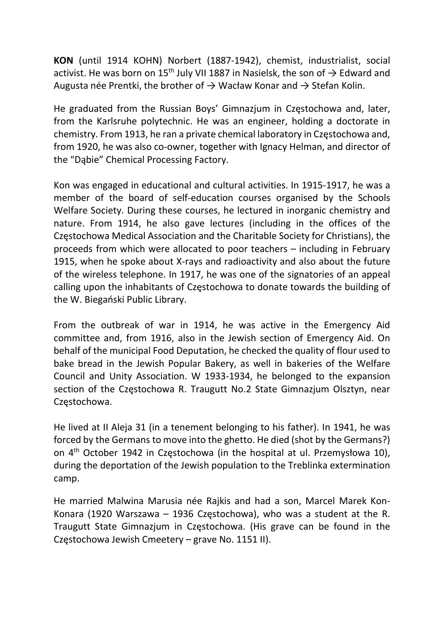KON (until 1914 KOHN) Norbert (1887-1942), chemist, industrialist, social activist. He was born on 15<sup>th</sup> July VII 1887 in Nasielsk, the son of  $\rightarrow$  Edward and Augusta née Prentki, the brother of  $\rightarrow$  Wacław Konar and  $\rightarrow$  Stefan Kolin.

He graduated from the Russian Boys' Gimnazjum in Częstochowa and, later, from the Karlsruhe polytechnic. He was an engineer, holding a doctorate in chemistry. From 1913, he ran a private chemical laboratory in Częstochowa and, from 1920, he was also co-owner, together with Ignacy Helman, and director of the "Dąbie" Chemical Processing Factory.

Kon was engaged in educational and cultural activities. In 1915-1917, he was a member of the board of self-education courses organised by the Schools Welfare Society. During these courses, he lectured in inorganic chemistry and nature. From 1914, he also gave lectures (including in the offices of the Częstochowa Medical Association and the Charitable Society for Christians), the proceeds from which were allocated to poor teachers – including in February 1915, when he spoke about X-rays and radioactivity and also about the future of the wireless telephone. In 1917, he was one of the signatories of an appeal calling upon the inhabitants of Częstochowa to donate towards the building of the W. Biegański Public Library.

From the outbreak of war in 1914, he was active in the Emergency Aid committee and, from 1916, also in the Jewish section of Emergency Aid. On behalf of the municipal Food Deputation, he checked the quality of flour used to bake bread in the Jewish Popular Bakery, as well in bakeries of the Welfare Council and Unity Association. W 1933-1934, he belonged to the expansion section of the Częstochowa R. Traugutt No.2 State Gimnazjum Olsztyn, near Częstochowa.

He lived at II Aleja 31 (in a tenement belonging to his father). In 1941, he was forced by the Germans to move into the ghetto. He died (shot by the Germans?) on 4th October 1942 in Częstochowa (in the hospital at ul. Przemysłowa 10), during the deportation of the Jewish population to the Treblinka extermination camp.

He married Malwina Marusia née Rajkis and had a son, Marcel Marek Kon-Konara (1920 Warszawa – 1936 Częstochowa), who was a student at the R. Traugutt State Gimnazjum in Częstochowa. (His grave can be found in the Częstochowa Jewish Cmeetery – grave No. 1151 II).